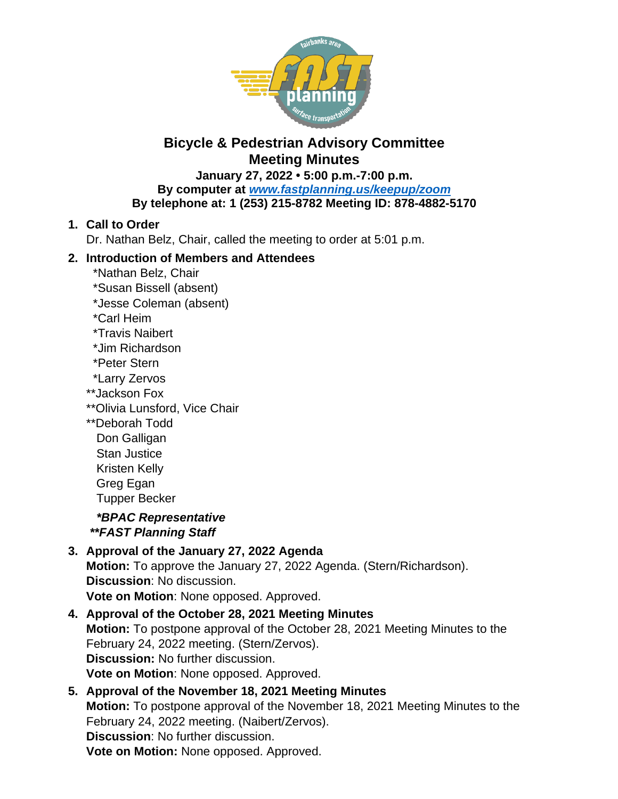

# **Bicycle & Pedestrian Advisory Committee Meeting Minutes**

**January 27, 2022 • 5:00 p.m.-7:00 p.m. By computer at** *[www.fastplanning.us/keepup/zoom](http://www.fastplanning.us/keepup/zoom)* **By telephone at: 1 (253) 215-8782 Meeting ID: 878-4882-5170**

## **1. Call to Order**

Dr. Nathan Belz, Chair, called the meeting to order at 5:01 p.m.

## **2. Introduction of Members and Attendees**

- \*Nathan Belz, Chair
- \*Susan Bissell (absent)
- \*Jesse Coleman (absent)
- \*Carl Heim
- \*Travis Naibert
- \*Jim Richardson
- \*Peter Stern
- \*Larry Zervos
- \*\*Jackson Fox
- \*\*Olivia Lunsford, Vice Chair
- \*\*Deborah Todd
	- Don Galligan Stan Justice
	- Kristen Kelly
	- Greg Egan

Tupper Becker

 *\*BPAC Representative \*\*FAST Planning Staff*

### **3. Approval of the January 27, 2022 Agenda Motion:** To approve the January 27, 2022 Agenda. (Stern/Richardson). **Discussion**: No discussion. **Vote on Motion**: None opposed. Approved.

**4. Approval of the October 28, 2021 Meeting Minutes Motion:** To postpone approval of the October 28, 2021 Meeting Minutes to the February 24, 2022 meeting. (Stern/Zervos). **Discussion:** No further discussion. **Vote on Motion**: None opposed. Approved.

## **5. Approval of the November 18, 2021 Meeting Minutes Motion:** To postpone approval of the November 18, 2021 Meeting Minutes to the February 24, 2022 meeting. (Naibert/Zervos). **Discussion**: No further discussion. **Vote on Motion:** None opposed. Approved.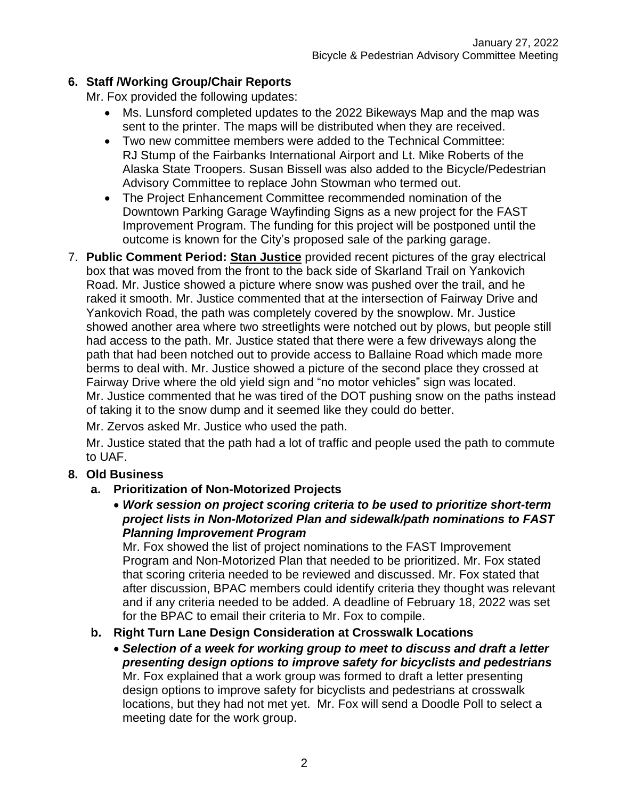## **6. Staff /Working Group/Chair Reports**

Mr. Fox provided the following updates:

- Ms. Lunsford completed updates to the 2022 Bikeways Map and the map was sent to the printer. The maps will be distributed when they are received.
- Two new committee members were added to the Technical Committee: RJ Stump of the Fairbanks International Airport and Lt. Mike Roberts of the Alaska State Troopers. Susan Bissell was also added to the Bicycle/Pedestrian Advisory Committee to replace John Stowman who termed out.
- The Project Enhancement Committee recommended nomination of the Downtown Parking Garage Wayfinding Signs as a new project for the FAST Improvement Program. The funding for this project will be postponed until the outcome is known for the City's proposed sale of the parking garage.
- 7. **Public Comment Period: Stan Justice** provided recent pictures of the gray electrical box that was moved from the front to the back side of Skarland Trail on Yankovich Road. Mr. Justice showed a picture where snow was pushed over the trail, and he raked it smooth. Mr. Justice commented that at the intersection of Fairway Drive and Yankovich Road, the path was completely covered by the snowplow. Mr. Justice showed another area where two streetlights were notched out by plows, but people still had access to the path. Mr. Justice stated that there were a few driveways along the path that had been notched out to provide access to Ballaine Road which made more berms to deal with. Mr. Justice showed a picture of the second place they crossed at Fairway Drive where the old yield sign and "no motor vehicles" sign was located. Mr. Justice commented that he was tired of the DOT pushing snow on the paths instead of taking it to the snow dump and it seemed like they could do better.

Mr. Zervos asked Mr. Justice who used the path.

Mr. Justice stated that the path had a lot of traffic and people used the path to commute to UAF.

## **8. Old Business**

- **a. Prioritization of Non-Motorized Projects**
	- *Work session on project scoring criteria to be used to prioritize short-term project lists in Non-Motorized Plan and sidewalk/path nominations to FAST Planning Improvement Program*

Mr. Fox showed the list of project nominations to the FAST Improvement Program and Non-Motorized Plan that needed to be prioritized. Mr. Fox stated that scoring criteria needed to be reviewed and discussed. Mr. Fox stated that after discussion, BPAC members could identify criteria they thought was relevant and if any criteria needed to be added. A deadline of February 18, 2022 was set for the BPAC to email their criteria to Mr. Fox to compile.

## **b. Right Turn Lane Design Consideration at Crosswalk Locations**

 *Selection of a week for working group to meet to discuss and draft a letter presenting design options to improve safety for bicyclists and pedestrians* Mr. Fox explained that a work group was formed to draft a letter presenting design options to improve safety for bicyclists and pedestrians at crosswalk locations, but they had not met yet. Mr. Fox will send a Doodle Poll to select a meeting date for the work group.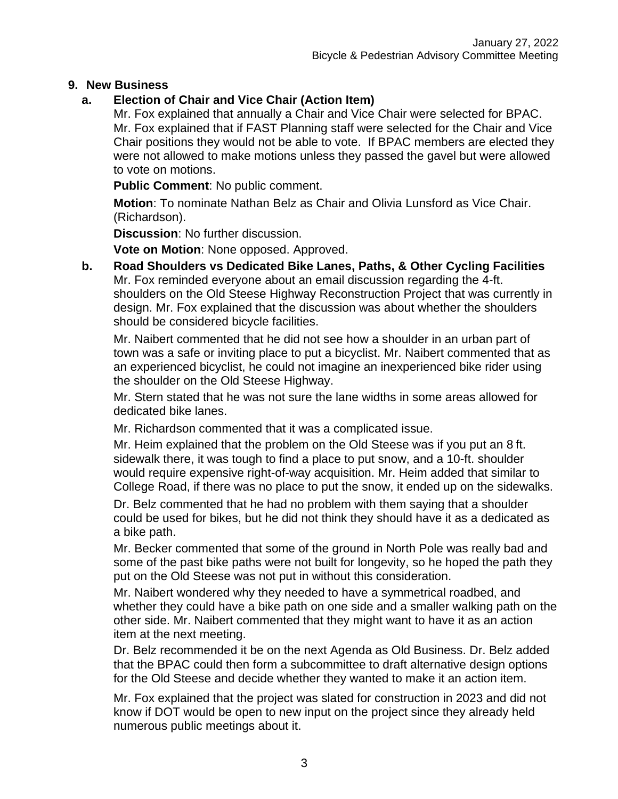### **9. New Business**

## **a. Election of Chair and Vice Chair (Action Item)**

Mr. Fox explained that annually a Chair and Vice Chair were selected for BPAC. Mr. Fox explained that if FAST Planning staff were selected for the Chair and Vice Chair positions they would not be able to vote. If BPAC members are elected they were not allowed to make motions unless they passed the gavel but were allowed to vote on motions.

**Public Comment**: No public comment.

**Motion**: To nominate Nathan Belz as Chair and Olivia Lunsford as Vice Chair. (Richardson).

**Discussion**: No further discussion.

**Vote on Motion**: None opposed. Approved.

**b. Road Shoulders vs Dedicated Bike Lanes, Paths, & Other Cycling Facilities** Mr. Fox reminded everyone about an email discussion regarding the 4-ft. shoulders on the Old Steese Highway Reconstruction Project that was currently in design. Mr. Fox explained that the discussion was about whether the shoulders should be considered bicycle facilities.

Mr. Naibert commented that he did not see how a shoulder in an urban part of town was a safe or inviting place to put a bicyclist. Mr. Naibert commented that as an experienced bicyclist, he could not imagine an inexperienced bike rider using the shoulder on the Old Steese Highway.

Mr. Stern stated that he was not sure the lane widths in some areas allowed for dedicated bike lanes.

Mr. Richardson commented that it was a complicated issue.

Mr. Heim explained that the problem on the Old Steese was if you put an 8 ft. sidewalk there, it was tough to find a place to put snow, and a 10-ft. shoulder would require expensive right-of-way acquisition. Mr. Heim added that similar to College Road, if there was no place to put the snow, it ended up on the sidewalks.

Dr. Belz commented that he had no problem with them saying that a shoulder could be used for bikes, but he did not think they should have it as a dedicated as a bike path.

Mr. Becker commented that some of the ground in North Pole was really bad and some of the past bike paths were not built for longevity, so he hoped the path they put on the Old Steese was not put in without this consideration.

Mr. Naibert wondered why they needed to have a symmetrical roadbed, and whether they could have a bike path on one side and a smaller walking path on the other side. Mr. Naibert commented that they might want to have it as an action item at the next meeting.

Dr. Belz recommended it be on the next Agenda as Old Business. Dr. Belz added that the BPAC could then form a subcommittee to draft alternative design options for the Old Steese and decide whether they wanted to make it an action item.

Mr. Fox explained that the project was slated for construction in 2023 and did not know if DOT would be open to new input on the project since they already held numerous public meetings about it.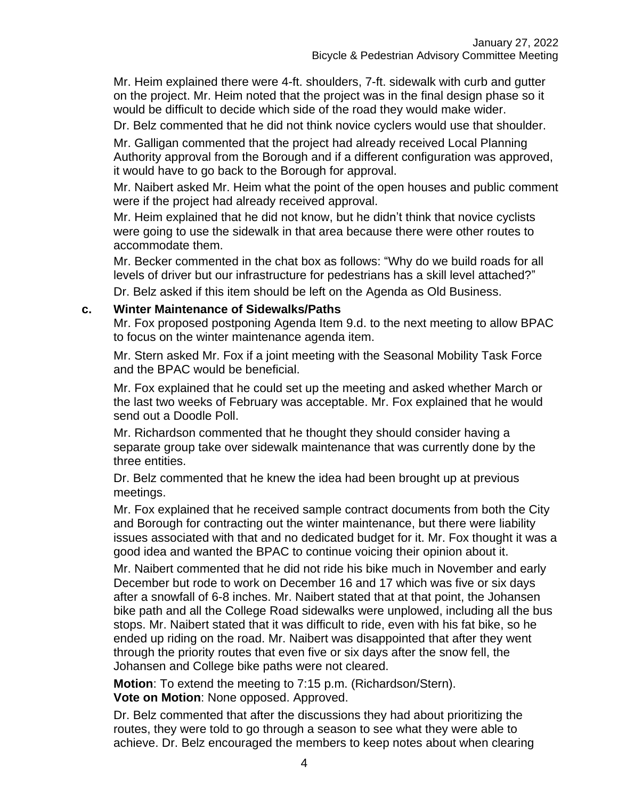Mr. Heim explained there were 4-ft. shoulders, 7-ft. sidewalk with curb and gutter on the project. Mr. Heim noted that the project was in the final design phase so it would be difficult to decide which side of the road they would make wider.

Dr. Belz commented that he did not think novice cyclers would use that shoulder.

Mr. Galligan commented that the project had already received Local Planning Authority approval from the Borough and if a different configuration was approved, it would have to go back to the Borough for approval.

Mr. Naibert asked Mr. Heim what the point of the open houses and public comment were if the project had already received approval.

Mr. Heim explained that he did not know, but he didn't think that novice cyclists were going to use the sidewalk in that area because there were other routes to accommodate them.

Mr. Becker commented in the chat box as follows: "Why do we build roads for all levels of driver but our infrastructure for pedestrians has a skill level attached?"

Dr. Belz asked if this item should be left on the Agenda as Old Business.

#### **c. Winter Maintenance of Sidewalks/Paths**

Mr. Fox proposed postponing Agenda Item 9.d. to the next meeting to allow BPAC to focus on the winter maintenance agenda item.

Mr. Stern asked Mr. Fox if a joint meeting with the Seasonal Mobility Task Force and the BPAC would be beneficial.

Mr. Fox explained that he could set up the meeting and asked whether March or the last two weeks of February was acceptable. Mr. Fox explained that he would send out a Doodle Poll.

Mr. Richardson commented that he thought they should consider having a separate group take over sidewalk maintenance that was currently done by the three entities.

Dr. Belz commented that he knew the idea had been brought up at previous meetings.

Mr. Fox explained that he received sample contract documents from both the City and Borough for contracting out the winter maintenance, but there were liability issues associated with that and no dedicated budget for it. Mr. Fox thought it was a good idea and wanted the BPAC to continue voicing their opinion about it.

Mr. Naibert commented that he did not ride his bike much in November and early December but rode to work on December 16 and 17 which was five or six days after a snowfall of 6-8 inches. Mr. Naibert stated that at that point, the Johansen bike path and all the College Road sidewalks were unplowed, including all the bus stops. Mr. Naibert stated that it was difficult to ride, even with his fat bike, so he ended up riding on the road. Mr. Naibert was disappointed that after they went through the priority routes that even five or six days after the snow fell, the Johansen and College bike paths were not cleared.

**Motion**: To extend the meeting to 7:15 p.m. (Richardson/Stern). **Vote on Motion**: None opposed. Approved.

Dr. Belz commented that after the discussions they had about prioritizing the routes, they were told to go through a season to see what they were able to achieve. Dr. Belz encouraged the members to keep notes about when clearing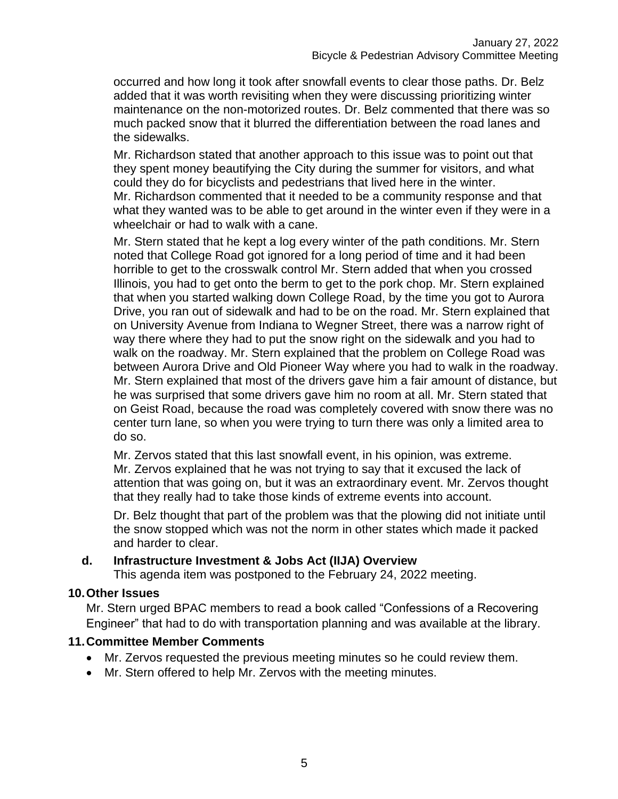occurred and how long it took after snowfall events to clear those paths. Dr. Belz added that it was worth revisiting when they were discussing prioritizing winter maintenance on the non-motorized routes. Dr. Belz commented that there was so much packed snow that it blurred the differentiation between the road lanes and the sidewalks.

Mr. Richardson stated that another approach to this issue was to point out that they spent money beautifying the City during the summer for visitors, and what could they do for bicyclists and pedestrians that lived here in the winter. Mr. Richardson commented that it needed to be a community response and that what they wanted was to be able to get around in the winter even if they were in a wheelchair or had to walk with a cane.

Mr. Stern stated that he kept a log every winter of the path conditions. Mr. Stern noted that College Road got ignored for a long period of time and it had been horrible to get to the crosswalk control Mr. Stern added that when you crossed Illinois, you had to get onto the berm to get to the pork chop. Mr. Stern explained that when you started walking down College Road, by the time you got to Aurora Drive, you ran out of sidewalk and had to be on the road. Mr. Stern explained that on University Avenue from Indiana to Wegner Street, there was a narrow right of way there where they had to put the snow right on the sidewalk and you had to walk on the roadway. Mr. Stern explained that the problem on College Road was between Aurora Drive and Old Pioneer Way where you had to walk in the roadway. Mr. Stern explained that most of the drivers gave him a fair amount of distance, but he was surprised that some drivers gave him no room at all. Mr. Stern stated that on Geist Road, because the road was completely covered with snow there was no center turn lane, so when you were trying to turn there was only a limited area to do so.

Mr. Zervos stated that this last snowfall event, in his opinion, was extreme. Mr. Zervos explained that he was not trying to say that it excused the lack of attention that was going on, but it was an extraordinary event. Mr. Zervos thought that they really had to take those kinds of extreme events into account.

Dr. Belz thought that part of the problem was that the plowing did not initiate until the snow stopped which was not the norm in other states which made it packed and harder to clear.

#### **d. Infrastructure Investment & Jobs Act (IIJA) Overview**

This agenda item was postponed to the February 24, 2022 meeting.

### **10.Other Issues**

Mr. Stern urged BPAC members to read a book called "Confessions of a Recovering Engineer" that had to do with transportation planning and was available at the library.

### **11.Committee Member Comments**

- Mr. Zervos requested the previous meeting minutes so he could review them.
- Mr. Stern offered to help Mr. Zervos with the meeting minutes.